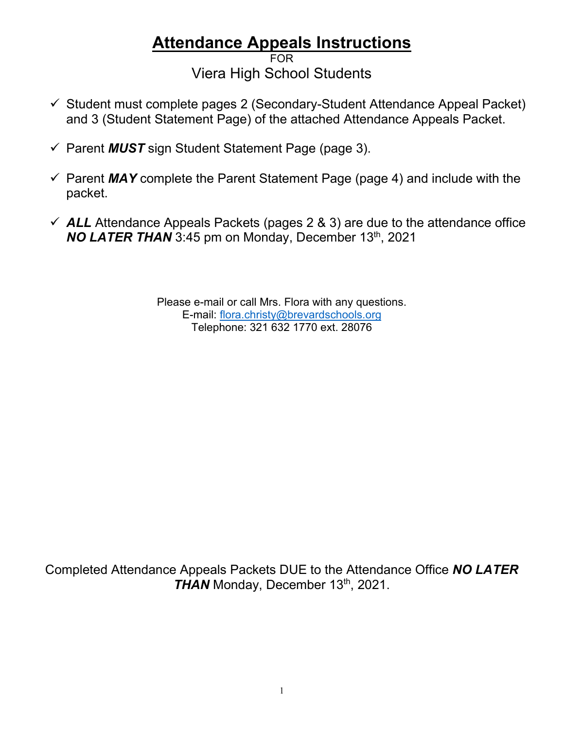## **Attendance Appeals Instructions**

FOR Viera High School Students

- $\checkmark$  Student must complete pages 2 (Secondary-Student Attendance Appeal Packet) and 3 (Student Statement Page) of the attached Attendance Appeals Packet.
- Parent *MUST* sign Student Statement Page (page 3).
- $\checkmark$  Parent *MAY* complete the Parent Statement Page (page 4) and include with the packet.
- $\checkmark$  ALL Attendance Appeals Packets (pages 2 & 3) are due to the attendance office **NO LATER THAN** 3:45 pm on Monday, December 13<sup>th</sup>, 2021

Please e-mail or call Mrs. Flora with any questions. E-mail: [flora.christy@brevardschools.org](mailto:flora.christy@brevardschools.org) Telephone: 321 632 1770 ext. 28076

Completed Attendance Appeals Packets DUE to the Attendance Office *NO LATER*  **THAN** Monday, December 13<sup>th</sup>, 2021.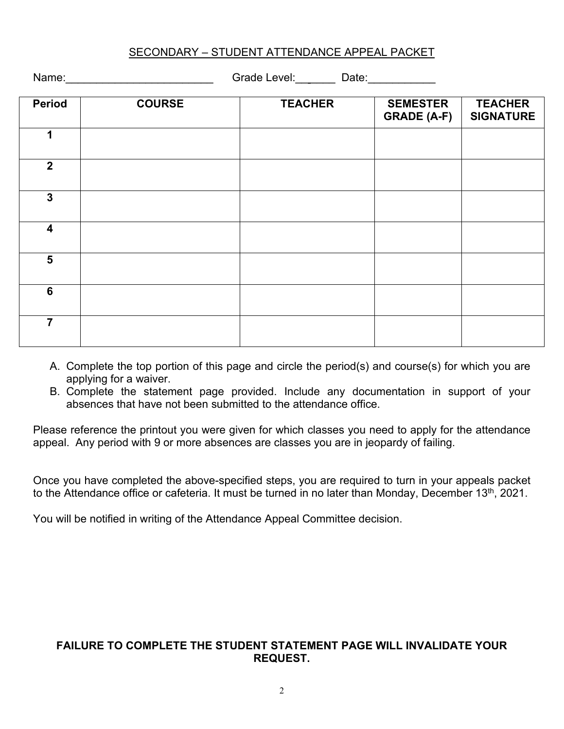| SECONDARY - STUDENT ATTENDANCE APPEAL PACKET |
|----------------------------------------------|
|----------------------------------------------|

Name: etc. Alternative Crade Level: Crade Level: Date:

| <b>Period</b>           | <b>COURSE</b> | <b>TEACHER</b> | <b>SEMESTER</b><br><b>GRADE (A-F)</b> | <b>TEACHER</b><br><b>SIGNATURE</b> |
|-------------------------|---------------|----------------|---------------------------------------|------------------------------------|
| 1                       |               |                |                                       |                                    |
| $\mathbf{2}$            |               |                |                                       |                                    |
| $\mathbf{3}$            |               |                |                                       |                                    |
| $\overline{\mathbf{4}}$ |               |                |                                       |                                    |
| $5\phantom{a}$          |               |                |                                       |                                    |
| 6                       |               |                |                                       |                                    |
| 7                       |               |                |                                       |                                    |

- A. Complete the top portion of this page and circle the period(s) and course(s) for which you are applying for a waiver.
- B. Complete the statement page provided. Include any documentation in support of your absences that have not been submitted to the attendance office.

Please reference the printout you were given for which classes you need to apply for the attendance appeal. Any period with 9 or more absences are classes you are in jeopardy of failing.

Once you have completed the above-specified steps, you are required to turn in your appeals packet to the Attendance office or cafeteria. It must be turned in no later than Monday, December 13<sup>th</sup>, 2021.

You will be notified in writing of the Attendance Appeal Committee decision.

## **FAILURE TO COMPLETE THE STUDENT STATEMENT PAGE WILL INVALIDATE YOUR REQUEST.**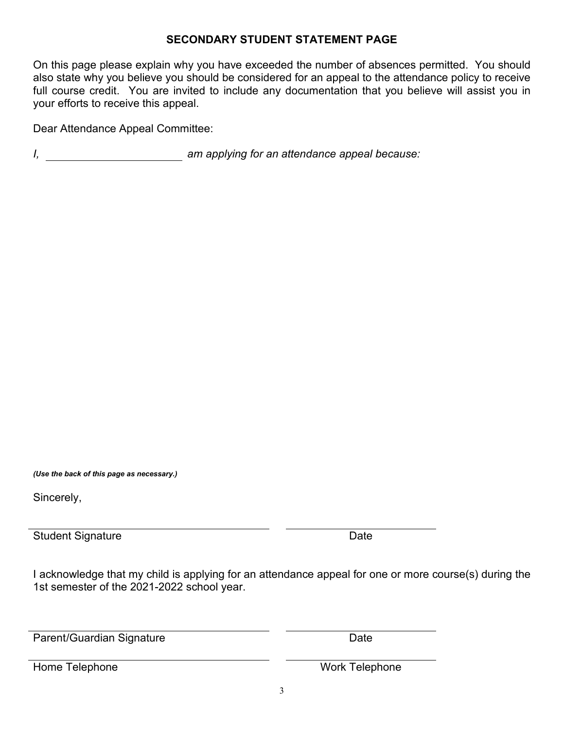## **SECONDARY STUDENT STATEMENT PAGE**

On this page please explain why you have exceeded the number of absences permitted. You should also state why you believe you should be considered for an appeal to the attendance policy to receive full course credit. You are invited to include any documentation that you believe will assist you in your efforts to receive this appeal.

Dear Attendance Appeal Committee:

*I, am applying for an attendance appeal because:*

*(Use the back of this page as necessary.)*

Sincerely,

Student Signature Date Date Date

I acknowledge that my child is applying for an attendance appeal for one or more course(s) during the 1st semester of the 2021-2022 school year.

Parent/Guardian Signature Date Date

Home Telephone North Telephone North Telephone